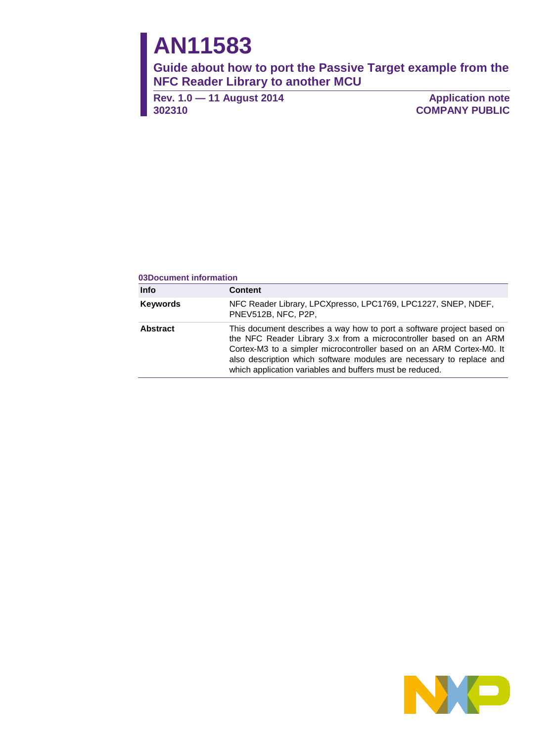# **AN11583**

**Guide about how to port the Passive Target example from the NFC Reader Library to another MCU**

**Rev. 1.0 — 11 August 2014 302310**

**Application note COMPANY PUBLIC**

#### **03Document information**

| <b>Info</b>     | <b>Content</b>                                                                                                                                                                                                                                                                                                                                         |
|-----------------|--------------------------------------------------------------------------------------------------------------------------------------------------------------------------------------------------------------------------------------------------------------------------------------------------------------------------------------------------------|
| <b>Keywords</b> | NFC Reader Library, LPCXpresso, LPC1769, LPC1227, SNEP, NDEF,<br>PNEV512B, NFC, P2P,                                                                                                                                                                                                                                                                   |
| <b>Abstract</b> | This document describes a way how to port a software project based on<br>the NFC Reader Library 3.x from a microcontroller based on an ARM<br>Cortex-M3 to a simpler microcontroller based on an ARM Cortex-M0. It<br>also description which software modules are necessary to replace and<br>which application variables and buffers must be reduced. |

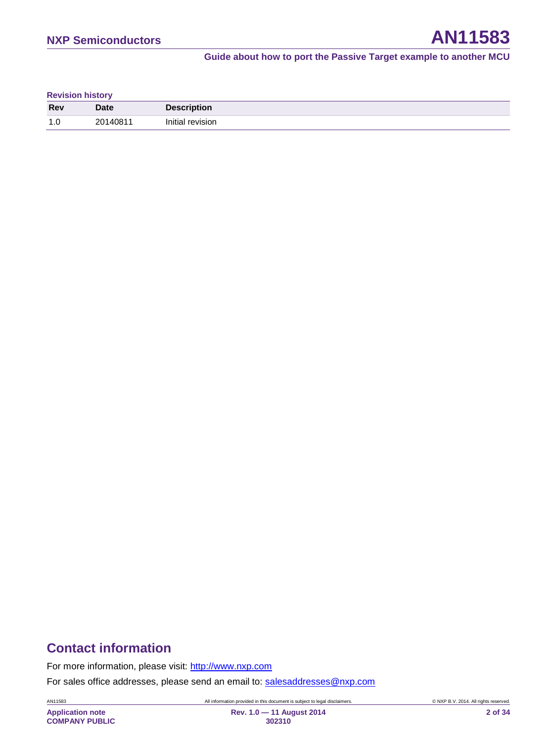| <b>Revision history</b> |             |                    |  |  |
|-------------------------|-------------|--------------------|--|--|
| <b>Rev</b>              | <b>Date</b> | <b>Description</b> |  |  |
| 1.0                     | 20140811    | Initial revision   |  |  |

### **Contact information**

For more information, please visit: [http://www.nxp.com](http://www.nxp.com/)

For sales office addresses, please send an email to: [salesaddresses@nxp.com](mailto:salesaddresses@nxp.com)

AN11583 All information provided in this document is subject to legal disclaimers. © NXP B.V. 2014. All rights reserved.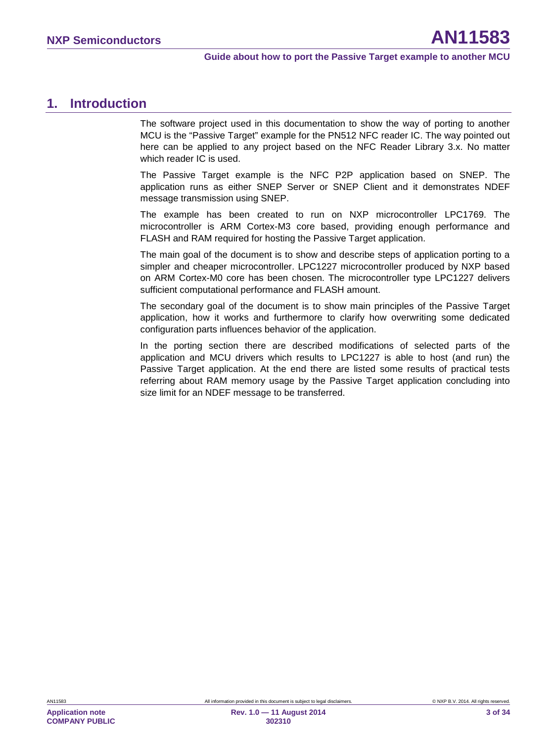### <span id="page-2-0"></span>**1. Introduction**

The software project used in this documentation to show the way of porting to another MCU is the "Passive Target" example for the PN512 NFC reader IC. The way pointed out here can be applied to any project based on the NFC Reader Library 3.x. No matter which reader IC is used.

The Passive Target example is the NFC P2P application based on SNEP. The application runs as either SNEP Server or SNEP Client and it demonstrates NDEF message transmission using SNEP.

The example has been created to run on NXP microcontroller LPC1769. The microcontroller is ARM Cortex-M3 core based, providing enough performance and FLASH and RAM required for hosting the Passive Target application.

The main goal of the document is to show and describe steps of application porting to a simpler and cheaper microcontroller. LPC1227 microcontroller produced by NXP based on ARM Cortex-M0 core has been chosen. The microcontroller type LPC1227 delivers sufficient computational performance and FLASH amount.

The secondary goal of the document is to show main principles of the Passive Target application, how it works and furthermore to clarify how overwriting some dedicated configuration parts influences behavior of the application.

In the porting section there are described modifications of selected parts of the application and MCU drivers which results to LPC1227 is able to host (and run) the Passive Target application. At the end there are listed some results of practical tests referring about RAM memory usage by the Passive Target application concluding into size limit for an NDEF message to be transferred.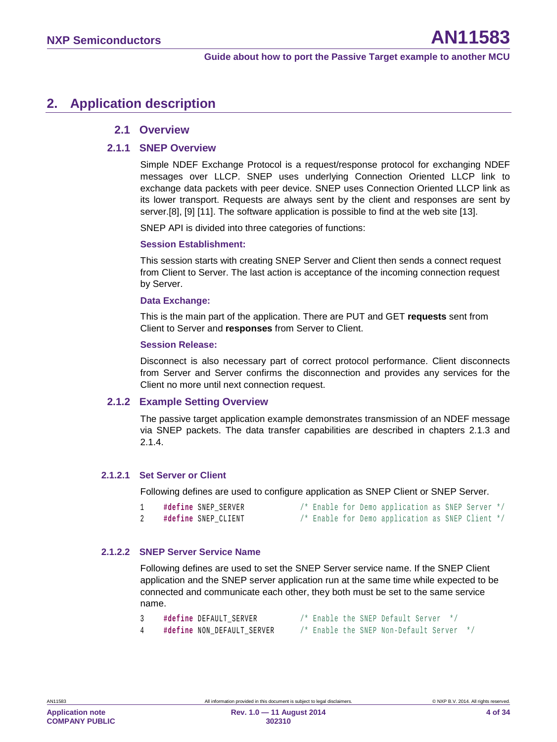### <span id="page-3-0"></span>**2. Application description**

#### <span id="page-3-1"></span>**2.1 Overview**

#### **2.1.1 SNEP Overview**

<span id="page-3-2"></span>Simple NDEF Exchange Protocol is a request/response protocol for exchanging NDEF messages over LLCP. SNEP uses underlying Connection Oriented LLCP link to exchange data packets with peer device. SNEP uses Connection Oriented LLCP link as its lower transport. Requests are always sent by the client and responses are sent by server[.\[8\],](#page-29-0) [\[9\]](#page-29-1) [\[11\].](#page-29-2) The software application is possible to find at the web site [\[13\].](#page-29-3)

SNEP API is divided into three categories of functions:

#### **Session Establishment:**

This session starts with creating SNEP Server and Client then sends a connect request from Client to Server. The last action is acceptance of the incoming connection request by Server.

#### **Data Exchange:**

This is the main part of the application. There are PUT and GET **requests** sent from Client to Server and **responses** from Server to Client.

#### **Session Release:**

Disconnect is also necessary part of correct protocol performance. Client disconnects from Server and Server confirms the disconnection and provides any services for the Client no more until next connection request.

#### **2.1.2 Example Setting Overview**

<span id="page-3-3"></span>The passive target application example demonstrates transmission of an NDEF message via SNEP packets. The data transfer capabilities are described in chapters [2.1.3](#page-4-0) and [2.1.4.](#page-4-1)

#### **2.1.2.1 Set Server or Client**

<span id="page-3-4"></span>Following defines are used to configure application as SNEP Client or SNEP Server.

| #define SNEP SERVER |  |  | /* Enable for Demo application as SNEP Server */ |  |  |
|---------------------|--|--|--------------------------------------------------|--|--|
| #define SNEP CLIENT |  |  | /* Enable for Demo application as SNEP Client */ |  |  |

#### **2.1.2.2 SNEP Server Service Name**

<span id="page-3-5"></span>Following defines are used to set the SNEP Server service name. If the SNEP Client application and the SNEP server application run at the same time while expected to be connected and communicate each other, they both must be set to the same service name.

|  | #define DEFAULT SERVER     |  |  | /* Enable the SNEP Default Server */ |  |
|--|----------------------------|--|--|--------------------------------------|--|
|  | 44.44 . MON BERNILE CEBURD |  |  |                                      |  |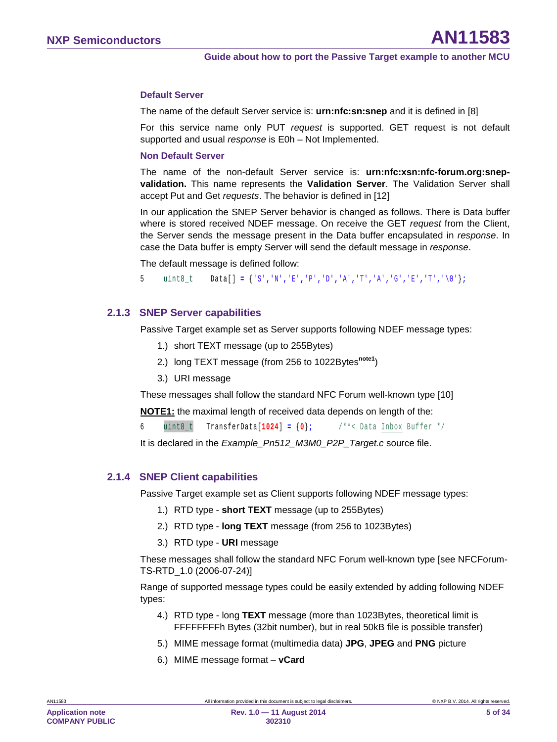#### **Default Server**

The name of the default Server service is: **urn:nfc:sn:snep** and it is defined in [\[8\]](#page-29-0)

For this service name only PUT *request* is supported. GET request is not default supported and usual *response* is E0h – Not Implemented.

#### **Non Default Server**

The name of the non-default Server service is: **urn:nfc:xsn:nfc-forum.org:snepvalidation.** This name represents the **Validation Server**. The Validation Server shall accept Put and Get *requests*. The behavior is defined in [\[12\]](#page-29-4)

In our application the SNEP Server behavior is changed as follows. There is Data buffer where is stored received NDEF message. On receive the GET *request* from the Client, the Server sends the message present in the Data buffer encapsulated in *response*. In case the Data buffer is empty Server will send the default message in *response*.

The default message is defined follow:

5 uint8\_t Data[] **=** {'S'**,**'N'**,**'E'**,**'P'**,**'D'**,**'A'**,**'T'**,**'A'**,**'G'**,**'E'**,**'T'**,**'\0'}**;**

#### **2.1.3 SNEP Server capabilities**

<span id="page-4-0"></span>Passive Target example set as Server supports following NDEF message types:

- 1.) short TEXT message (up to 255Bytes)
- 2.) long TEXT message (from 256 to 1022Bytes<sup>note1</sup>)
- 3.) URI message

These messages shall follow the standard NFC Forum well-known type [\[10\]](#page-29-5)

**NOTE1:** the maximal length of received data depends on length of the:

6 uint8<sub>\_</sub>t TransferData[1024] =  $\{0\}$ ; /\*\*< Data Inbox Buffer \*/

It is declared in the *Example\_Pn512\_M3M0\_P2P\_Target.c* source file.

#### **2.1.4 SNEP Client capabilities**

<span id="page-4-1"></span>Passive Target example set as Client supports following NDEF message types:

- 1.) RTD type **short TEXT** message (up to 255Bytes)
- 2.) RTD type **long TEXT** message (from 256 to 1023Bytes)
- 3.) RTD type **URI** message

These messages shall follow the standard NFC Forum well-known type [see NFCForum-TS-RTD\_1.0 (2006-07-24)]

Range of supported message types could be easily extended by adding following NDEF types:

- 4.) RTD type long **TEXT** message (more than 1023Bytes, theoretical limit is FFFFFFFFh Bytes (32bit number), but in real 50kB file is possible transfer)
- 5.) MIME message format (multimedia data) **JPG**, **JPEG** and **PNG** picture
- 6.) MIME message format **vCard**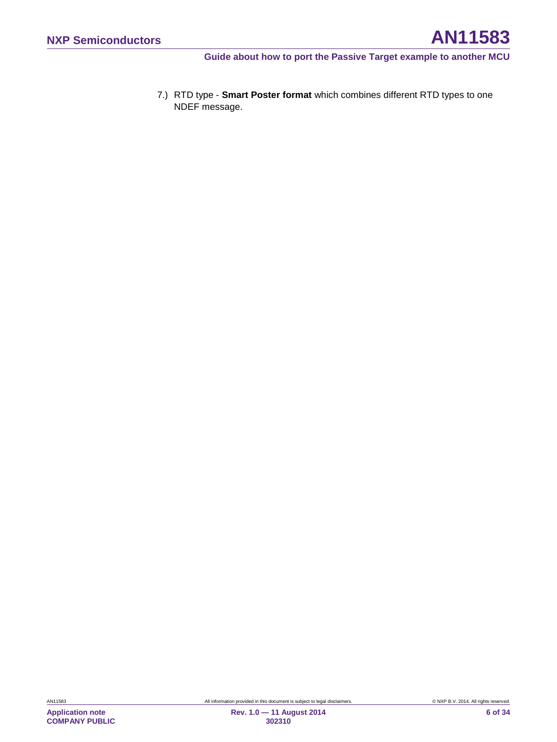7.) RTD type - **Smart Poster format** which combines different RTD types to one NDEF message.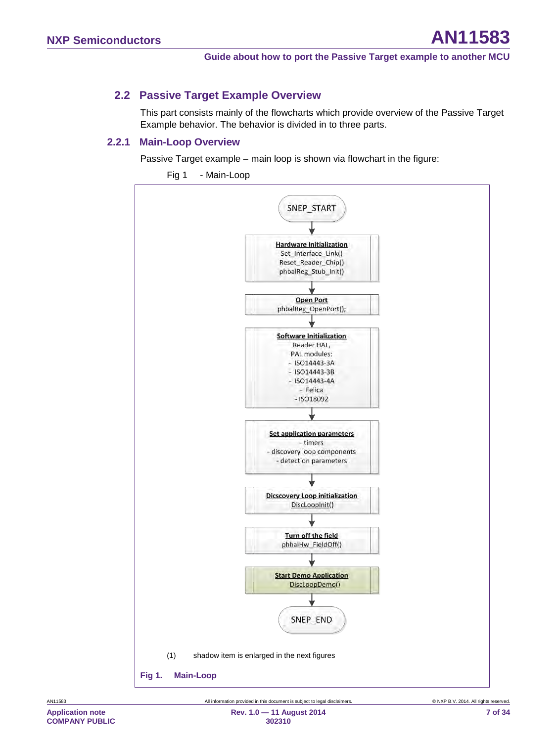### **2.2 Passive Target Example Overview**

<span id="page-6-1"></span>This part consists mainly of the flowcharts which provide overview of the Passive Target Example behavior. The behavior is divided in to three parts.

#### **2.2.1 Main-Loop Overview**

<span id="page-6-2"></span>Passive Target example – main loop is shown via flowchart in the figure:

<span id="page-6-0"></span>

[Fig 1](#page-6-0) - [Main-Loop](#page-6-0)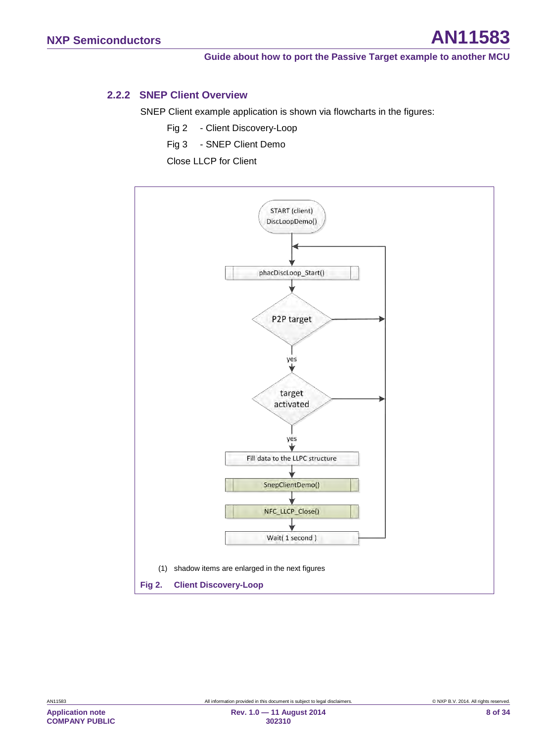#### **2.2.2 SNEP Client Overview**

<span id="page-7-1"></span>SNEP Client example application is shown via flowcharts in the figures:

- [Fig 2](#page-7-0) - [Client Discovery-Loop](#page-7-0)
- [Fig 3](#page-8-0) - [SNEP Client Demo](#page-8-0)

[Close LLCP for Client](#page-9-0)

<span id="page-7-0"></span>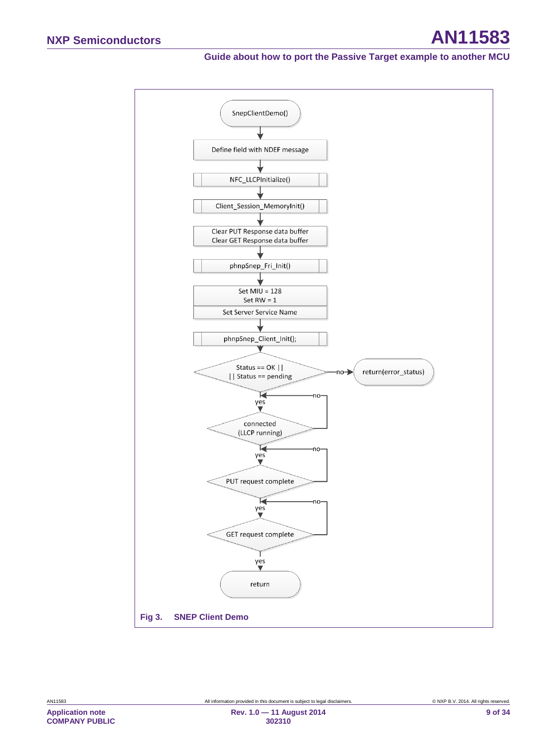<span id="page-8-0"></span>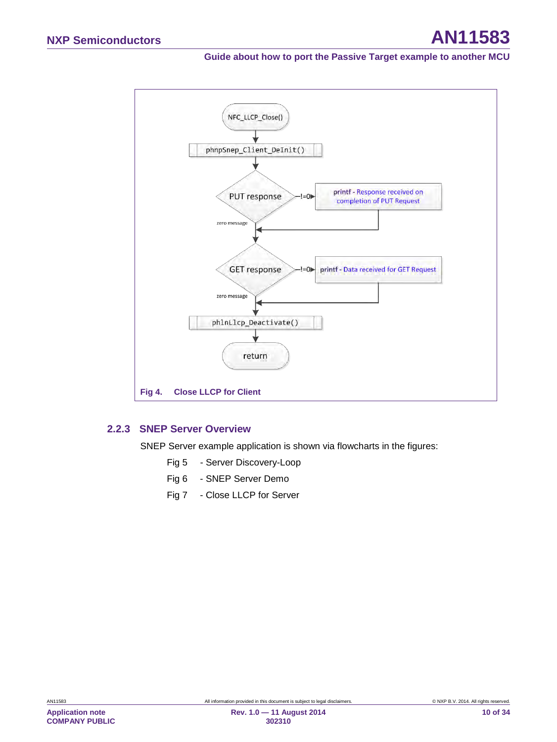

#### <span id="page-9-0"></span>**2.2.3 SNEP Server Overview**

<span id="page-9-1"></span>SNEP Server example application is shown via flowcharts in the figures:

- [Fig 5](#page-10-0) - [Server Discovery-Loop](#page-10-0)
- [Fig 6](#page-11-0) - [SNEP Server Demo](#page-11-0)
- [Fig 7](#page-11-1) - [Close LLCP for Server](#page-11-1)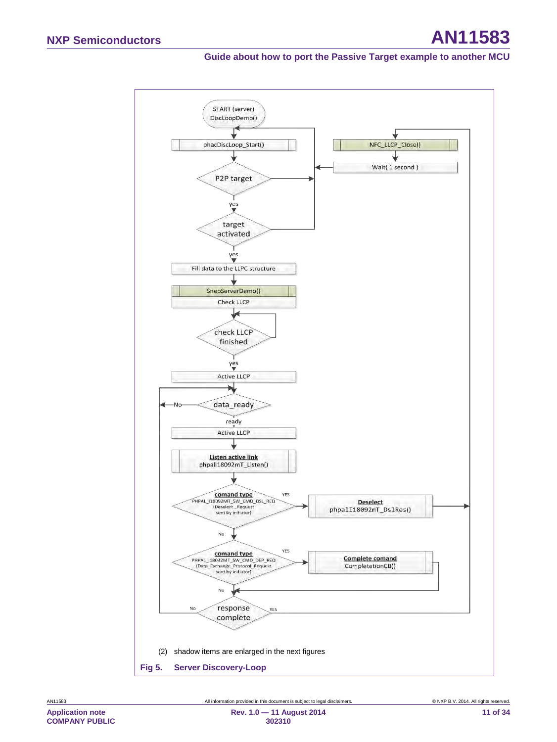<span id="page-10-0"></span>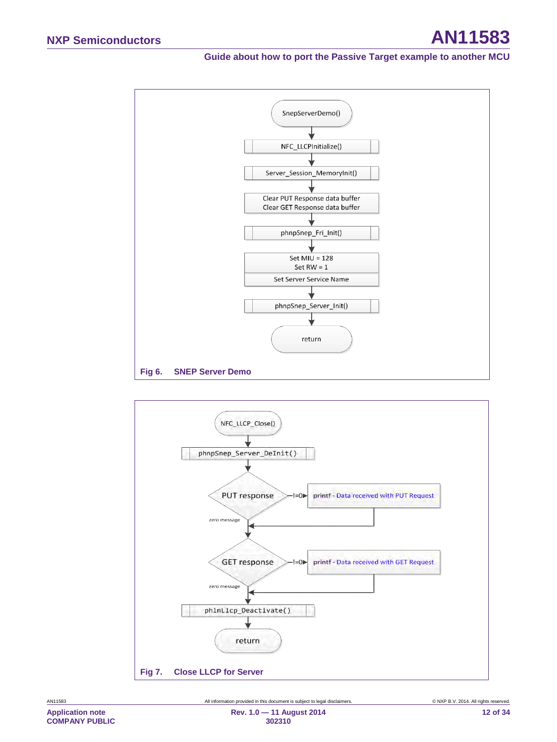

<span id="page-11-0"></span>

<span id="page-11-1"></span>**Application note**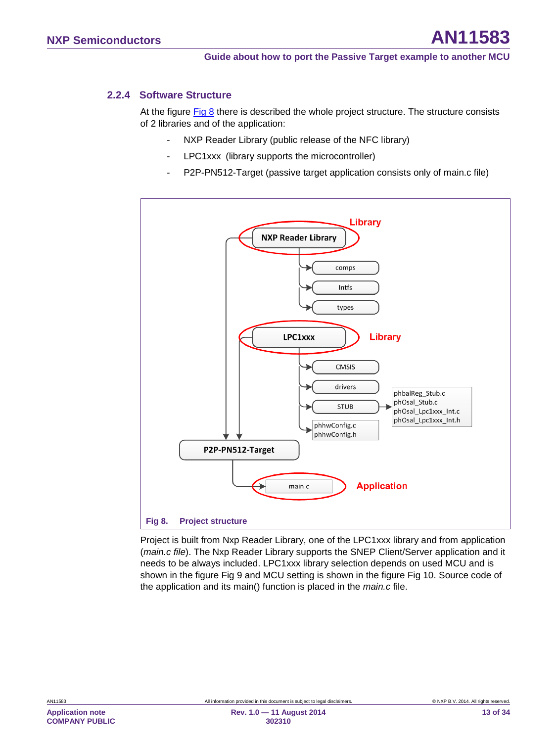#### **2.2.4 Software Structure**

<span id="page-12-1"></span>At the figure [Fig 8](#page-12-0) there is described the whole project structure. The structure consists of 2 libraries and of the application:

- NXP Reader Library (public release of the NFC library)
- LPC1xxx (library supports the microcontroller)
- P2P-PN512-Target (passive target application consists only of main.c file)



<span id="page-12-0"></span>Project is built from Nxp Reader Library, one of the LPC1xxx library and from application (*main.c file*). The Nxp Reader Library supports the SNEP Client/Server application and it needs to be always included. LPC1xxx library selection depends on used MCU and is shown in the figure [Fig 9](#page-13-0) and MCU setting is shown in the figure [Fig 10.](#page-14-0) Source code of the application and its main() function is placed in the *main.c* file.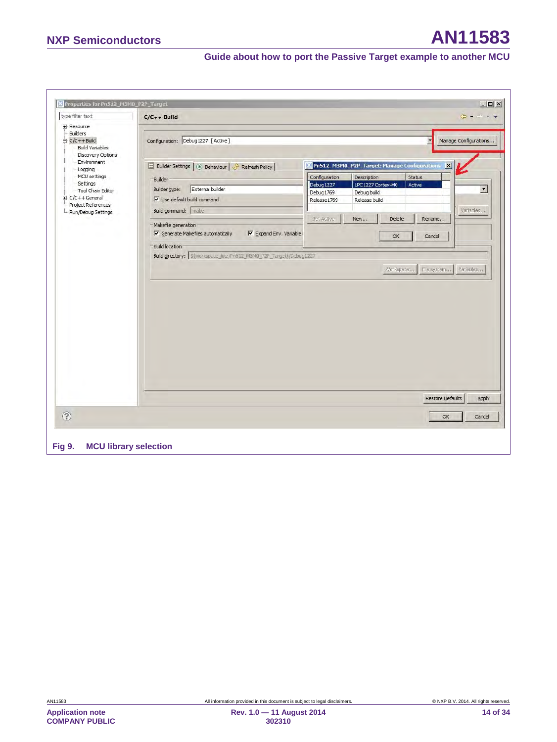<span id="page-13-0"></span>

|                                                                                                                                               | $C/C++$ Build                                                                                                                                           |                                                           |                                                                                                                  |                                  | $\phi \bullet - \bullet \bullet$  |
|-----------------------------------------------------------------------------------------------------------------------------------------------|---------------------------------------------------------------------------------------------------------------------------------------------------------|-----------------------------------------------------------|------------------------------------------------------------------------------------------------------------------|----------------------------------|-----------------------------------|
| <b>F</b> -Resource<br>Builders<br>$C/C++Build$<br><b>Build Variables</b><br>Discovery Options                                                 | Configuration: Debug1227 [Active]                                                                                                                       |                                                           |                                                                                                                  | $\blacksquare$                   | Manage Configurations             |
| Environment<br>Logging<br>· MCU settings<br>- Settings<br>- Tool Chain Editor<br>E-C/C++General<br>Project References<br>- Run/Debug Settings | Builder Settings   6 Behaviour   Refresh Policy<br>Builder<br>External builder<br>Builder type:<br>V Use default build command<br>Build command:   make | Configuration<br>Debug 1227<br>Debug 1769<br>Release 1769 | Pn512_M3M0_P2P_Target: Manage Configurations<br>Description<br>LPC1227 Cortex-M0<br>Debug build<br>Release build | $\mathbf{x}$<br>Status<br>Active | $\blacktriangledown$<br>Variables |
|                                                                                                                                               | Makefile generation<br>$\overline{\mathsf{v}}$ Generate Makefiles automatically<br>$\nabla$ Expand Env. Variable                                        | Set Active                                                | New<br>Delete<br>OK                                                                                              | Rename<br>Cancel                 |                                   |
|                                                                                                                                               |                                                                                                                                                         |                                                           |                                                                                                                  | Workspace,                       | File system   Variables           |
|                                                                                                                                               |                                                                                                                                                         |                                                           |                                                                                                                  |                                  |                                   |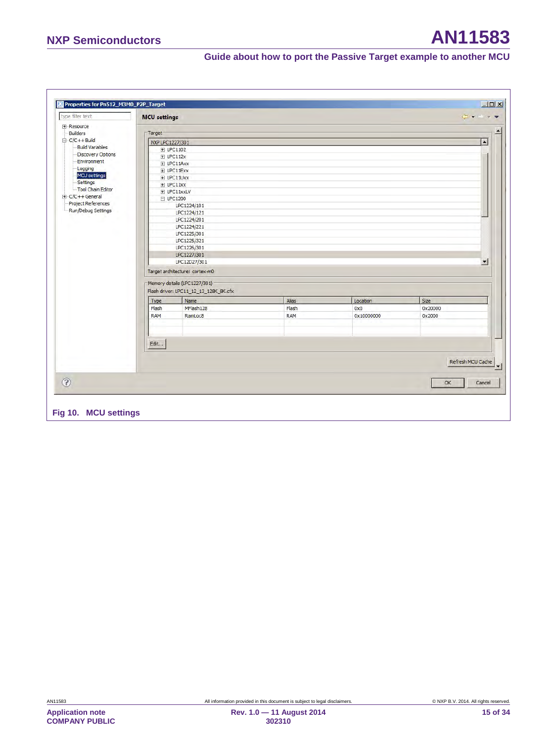# **NXP Semiconductors AN11583**

### **Guide about how to port the Passive Target example to another MCU**

<span id="page-14-0"></span>

| <b>MCU</b> settings    |                                       |            |            | $\leftarrow - - \right)$ |
|------------------------|---------------------------------------|------------|------------|--------------------------|
|                        |                                       |            |            |                          |
| Target                 |                                       |            |            |                          |
| NXP LPC 1227/301       |                                       |            |            |                          |
| <b>Build Variables</b> | 田 LPC1102                             |            |            |                          |
| Discovery Options      | $E$ LPC112x                           |            |            |                          |
| Environment            | $E$ LPC11Axx                          |            |            |                          |
| MCU settings           | E LPC11Exx                            |            |            |                          |
|                        | E LPC11Uxx                            |            |            |                          |
| Tool Chain Editor      | $E$ LPC11xx                           |            |            |                          |
| $E-C/C++$ General      | E LPC11xxLV                           |            |            |                          |
| Project References     | $E$ LPC1200                           |            |            |                          |
| Run/Debug Settings     | LPC1224/101<br>LPC1224/121            |            |            |                          |
|                        | LPC1224/201                           |            |            |                          |
|                        | LPC1224/221                           |            |            |                          |
|                        | LPC1225/301                           |            |            |                          |
|                        | LPC1225/321                           |            |            |                          |
|                        | LPC1226/301                           |            |            |                          |
|                        | LPC1227/301                           |            |            |                          |
|                        | LPC12D27/301                          |            |            |                          |
|                        | Target architecture: cortex-m0        |            |            |                          |
|                        |                                       |            |            |                          |
|                        | Memory details (LPC1227/301)          |            |            |                          |
|                        | Flash driver: LPC11_12_13_128K_8K.cfx |            |            |                          |
| Type                   | Name                                  | Alias      | Location   | Size                     |
| Flash                  | MFlash128                             | Flash      | 0x0        | 0x20000                  |
| <b>RAM</b>             | RamLoc8                               | <b>RAM</b> | 0x10000000 | 0x2000                   |
|                        |                                       |            |            |                          |
|                        |                                       |            |            |                          |
|                        |                                       |            |            |                          |
| Edit                   |                                       |            |            |                          |
|                        |                                       |            |            |                          |
|                        |                                       |            |            | Refresh MCU Cache        |
|                        |                                       |            |            |                          |
|                        |                                       |            |            |                          |
|                        |                                       |            |            | OK<br>Cancel             |
|                        |                                       |            |            |                          |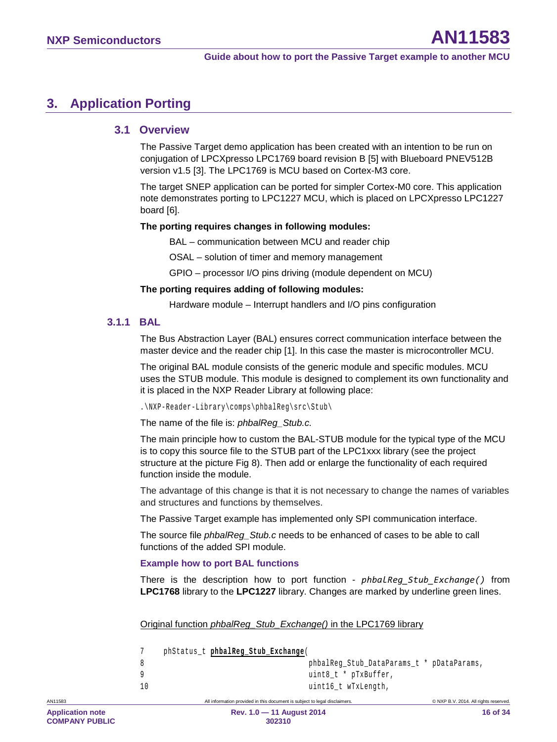### <span id="page-15-0"></span>**3. Application Porting**

#### <span id="page-15-1"></span>**3.1 Overview**

The Passive Target demo application has been created with an intention to be run on conjugation of LPCXpresso LPC1769 board revision B [\[5\]](#page-29-6) with Blueboard PNEV512B version v1.5 [\[3\].](#page-29-7) The LPC1769 is MCU based on Cortex-M3 core.

The target SNEP application can be ported for simpler Cortex-M0 core. This application note demonstrates porting to LPC1227 MCU, which is placed on LPCXpresso LPC1227 board [\[6\].](#page-29-8)

#### **The porting requires changes in following modules:**

BAL – communication between MCU and reader chip

OSAL – solution of timer and memory management

GPIO – processor I/O pins driving (module dependent on MCU)

#### **The porting requires adding of following modules:**

Hardware module – Interrupt handlers and I/O pins configuration

#### **3.1.1 BAL**

<span id="page-15-2"></span>The Bus Abstraction Layer (BAL) ensures correct communication interface between the master device and the reader chip [\[1\].](#page-29-9) In this case the master is microcontroller MCU.

The original BAL module consists of the generic module and specific modules. MCU uses the STUB module. This module is designed to complement its own functionality and it is placed in the NXP Reader Library at following place:

.\NXP-Reader-Library\comps\phbalReg\src\Stub\

The name of the file is: *phbalReg\_Stub.c.* 

The main principle how to custom the BAL-STUB module for the typical type of the MCU is to copy this source file to the STUB part of the LPC1xxx library (see the project structure at the picture [Fig 8\)](#page-12-0). Then add or enlarge the functionality of each required function inside the module.

The advantage of this change is that it is not necessary to change the names of variables and structures and functions by themselves.

The Passive Target example has implemented only SPI communication interface.

The source file *phbalReg\_Stub.c* needs to be enhanced of cases to be able to call functions of the added SPI module.

#### **Example how to port BAL functions**

There is the description how to port function - *phbalReg\_Stub\_Exchange()* from **LPC1768** library to the **LPC1227** library. Changes are marked by underline green lines.

Original function *phbalReg\_Stub\_Exchange()* in the LPC1769 library

|    | phStatus t phbalReg Stub Exchange |                                           |
|----|-----------------------------------|-------------------------------------------|
|    |                                   | phbalReq Stub DataParams t * pDataParams, |
| Q  |                                   | uint8 t * pTxBuffer,                      |
| 10 |                                   | uint16 t wTxLength,                       |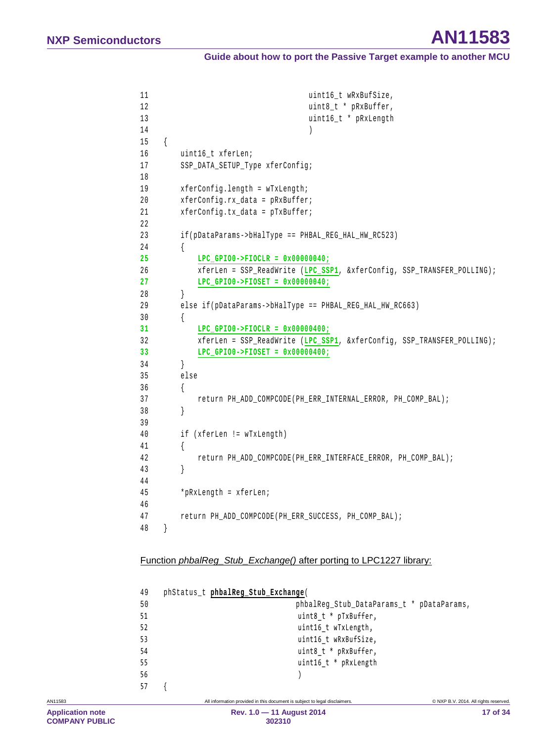```
11 uint16 t wRxBufSize,
12 uint8 t * pRxBuffer,
13 uint16_t * pRxLength
14 )
15 { 
16 uint16 t xferLen;
17 SSP_DATA_SETUP_Type xferConfig;
18
19 xferConfig.length = wTxLength;
20 xferConfig.rx_data = pRxBuffer;
21 xferConfig.tx_data = pTxBuffer;
22
23 if(pDataParams->bHalType == PHBAL_REG_HAL_HW_RC523)
24 { 
25 LPC_GPIO0->FIOCLR = 0x00000040;
26 xferLen = SSP_ReadWrite (LPC_SSP1, &xferConfig, SSP_TRANSFER_POLLING);
27 LPC_GPIO0->FIOSET = 0x00000040;
28 } 
29 else if(pDataParams->bHalType == PHBAL_REG_HAL_HW_RC663)
30 { 
31 LPC_GPIO0->FIOCLR = 0x00000400;
32 xferLen = SSP_ReadWrite (LPC_SSP1, &xferConfig, SSP_TRANSFER_POLLING);
33 LPC_GPIO0->FIOSET = 0x00000400;
34 } 
35 else
36 { 
37 return PH_ADD_COMPCODE(PH_ERR_INTERNAL_ERROR, PH_COMP_BAL);
38 } 
39
40 if (xferLen != wTxLength)
41 { 
42 return PH_ADD_COMPCODE(PH_ERR_INTERFACE_ERROR, PH_COMP_BAL);
43 } 
44
45 *pRxLength = xferLen;
46
47 return PH_ADD_COMPCODE(PH_ERR_SUCCESS, PH_COMP_BAL);
48 }
```
#### Function *phbalReg\_Stub\_Exchange()* after porting to LPC1227 library:

| 49  | phStatus_t phbalReg_Stub_Exchange(        |
|-----|-------------------------------------------|
| 50  | phbalReq Stub DataParams t * pDataParams, |
| -51 | uint8 t * pTxBuffer,                      |
| -52 | uint16 t wTxLength,                       |
| -53 | uint16 t wRxBufSize,                      |
| 54  | uint8 t * pRxBuffer,                      |
| -55 | uint16 $t * pRxLength$                    |
| 56  |                                           |
| -57 |                                           |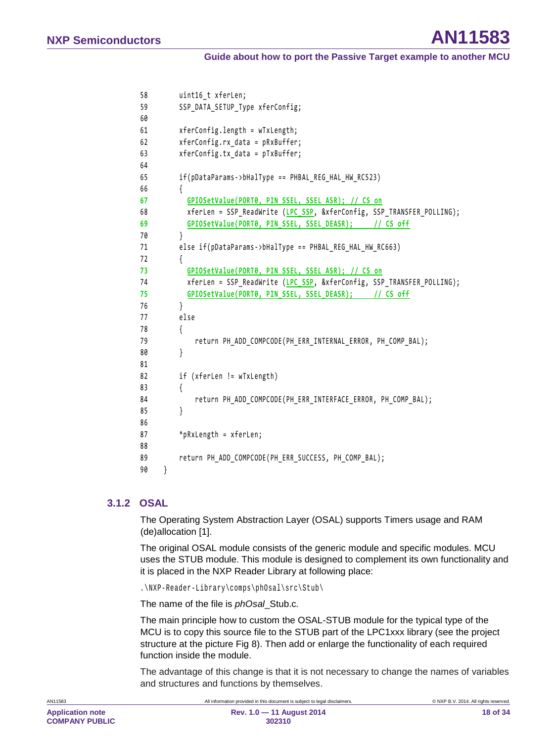```
58 uint16_t xferLen; 
59 SSP_DATA_SETUP_Type xferConfig; 
60
61 xferConfig.length = wTxLength; 
62 xferConfig.rx_data = pRxBuffer; 
63 xferConfig.tx_data = pTxBuffer; 
64
65 if(pDataParams->bHalType == PHBAL_REG_HAL_HW_RC523)
66 { 
67 GPIOSetValue(PORT0, PIN_SSEL, SSEL_ASR); // CS on
68 xferLen = SSP ReadWrite (LPC SSP, &xferConfig, SSP TRANSFER POLLING);
69 GPIOSetValue(PORT0, PIN_SSEL, SSEL_DEASR); // CS off
70 } 
71 else if(pDataParams->bHalType == PHBAL REG HAL HW RC663)
72 { 
73 GPIOSetValue(PORT0, PIN_SSEL, SSEL_ASR); // CS on
74 xferLen = SSP_ReadWrite (LPC_SSP, &xferConfig, SSP_TRANSFER_POLLING); 
75 GPIOSetValue(PORT0, PIN_SSEL, SSEL_DEASR); // CS off
76 } 
77 else
78 { 
79 return PH_ADD_COMPCODE(PH_ERR_INTERNAL_ERROR, PH_COMP_BAL);
80 } 
81
82 if (xferLen != wTxLength)
83 { 
84 return PH_ADD_COMPCODE(PH_ERR_INTERFACE_ERROR, PH_COMP_BAL); 
85 } 
86
87 *pRxLength = xferLen; 
88
89 return PH_ADD_COMPCODE(PH_ERR_SUCCESS, PH_COMP_BAL);
90 }
```
#### **3.1.2 OSAL**

<span id="page-17-0"></span>The Operating System Abstraction Layer (OSAL) supports Timers usage and RAM (de)allocation [\[1\].](#page-29-9)

The original OSAL module consists of the generic module and specific modules. MCU uses the STUB module. This module is designed to complement its own functionality and it is placed in the NXP Reader Library at following place:

.\NXP-Reader-Library\comps\phOsal\src\Stub\

The name of the file is *phOsal*\_Stub.c*.*

The main principle how to custom the OSAL-STUB module for the typical type of the MCU is to copy this source file to the STUB part of the LPC1xxx library (see the project structure at the picture [Fig 8\)](#page-12-0). Then add or enlarge the functionality of each required function inside the module.

The advantage of this change is that it is not necessary to change the names of variables and structures and functions by themselves.

```
AN11583 All information provided in this document is subject to legal disclaimers. © NXP B.V. 2014. All rights reserved.
```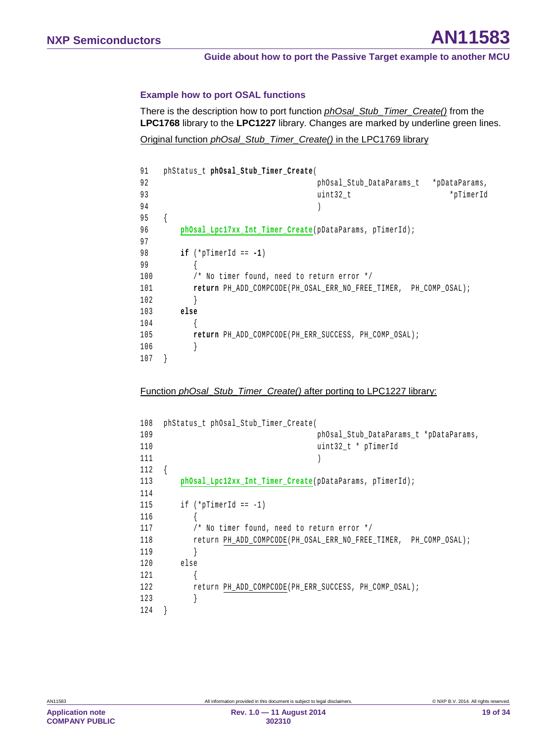#### **Example how to port OSAL functions**

There is the description how to port function *phOsal\_Stub\_Timer\_Create()* from the **LPC1768** library to the **LPC1227** library. Changes are marked by underline green lines.

Original function *phOsal\_Stub\_Timer\_Create()* in the LPC1769 library

```
91 phStatus_t phOsal_Stub_Timer_Create( 
92 phOsal_Stub_DataParams_t *pDataParams,
93 uint32_t *pTimerId
9495 { 
96 phOsal_Lpc17xx_Int_Timer_Create(pDataParams, pTimerId);
97 
98 if (*pTimerId == -1) 
99 { 
100 /* No timer found, need to return error */
101 return PH_ADD_COMPCODE(PH_OSAL_ERR_NO_FREE_TIMER, PH_COMP_OSAL);
102 } 
103 else
104 { 
105 return PH_ADD_COMPCODE(PH_ERR_SUCCESS, PH_COMP_OSAL);
106 } 
107 }
```
#### Function *phOsal\_Stub\_Timer\_Create()* after porting to LPC1227 library:

| 108 | phStatus t phOsal Stub Timer Create(                    |                                                                  |
|-----|---------------------------------------------------------|------------------------------------------------------------------|
| 109 |                                                         | phOsal Stub DataParams t *pDataParams,                           |
| 110 |                                                         | uint32 t * pTimerId                                              |
| 111 |                                                         |                                                                  |
| 112 |                                                         |                                                                  |
| 113 | phOsal Lpc12xx Int Timer Create(pDataParams, pTimerId); |                                                                  |
| 114 |                                                         |                                                                  |
| 115 | if $(*pTimerid == -1)$                                  |                                                                  |
| 116 |                                                         |                                                                  |
| 117 | /* No timer found, need to return error */              |                                                                  |
| 118 |                                                         | return PH ADD COMPCODE(PH OSAL ERR NO FREE TIMER, PH COMP OSAL); |
| 119 |                                                         |                                                                  |
| 120 | else                                                    |                                                                  |
| 121 |                                                         |                                                                  |
| 122 | return PH ADD COMPCODE (PH ERR SUCCESS, PH COMP OSAL);  |                                                                  |
| 123 |                                                         |                                                                  |
| 124 |                                                         |                                                                  |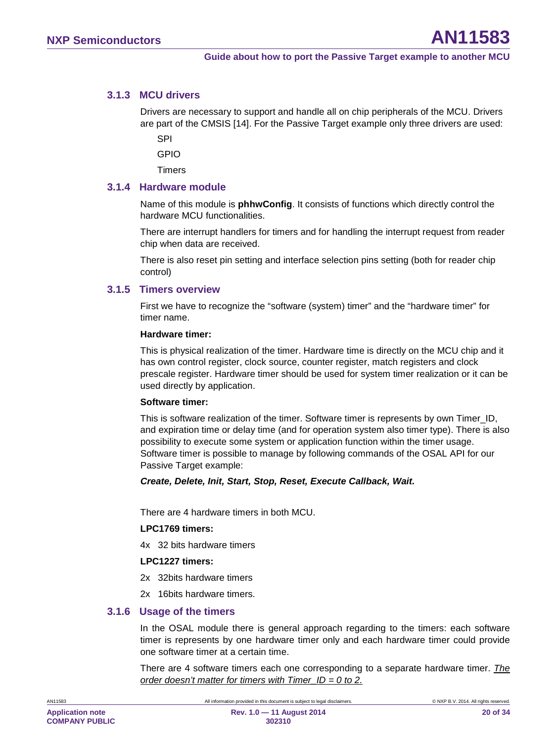#### **3.1.3 MCU drivers**

<span id="page-19-0"></span>Drivers are necessary to support and handle all on chip peripherals of the MCU. Drivers are part of the CMSIS [\[14\].](#page-29-10) For the Passive Target example only three drivers are used:

SPI

GPIO

<span id="page-19-1"></span>**Timers** 

#### **3.1.4 Hardware module**

Name of this module is **phhwConfig**. It consists of functions which directly control the hardware MCU functionalities.

There are interrupt handlers for timers and for handling the interrupt request from reader chip when data are received.

There is also reset pin setting and interface selection pins setting (both for reader chip control)

#### **3.1.5 Timers overview**

<span id="page-19-2"></span>First we have to recognize the "software (system) timer" and the "hardware timer" for timer name.

#### **Hardware timer:**

This is physical realization of the timer. Hardware time is directly on the MCU chip and it has own control register, clock source, counter register, match registers and clock prescale register. Hardware timer should be used for system timer realization or it can be used directly by application.

#### **Software timer:**

This is software realization of the timer. Software timer is represents by own Timer\_ID, and expiration time or delay time (and for operation system also timer type). There is also possibility to execute some system or application function within the timer usage. Software timer is possible to manage by following commands of the OSAL API for our Passive Target example:

#### *Create, Delete, Init, Start, Stop, Reset, Execute Callback, Wait.*

There are 4 hardware timers in both MCU.

#### **LPC1769 timers:**

4x 32 bits hardware timers

#### **LPC1227 timers:**

- 2x 32bits hardware timers
- <span id="page-19-3"></span>2x 16bits hardware timers.

#### **3.1.6 Usage of the timers**

In the OSAL module there is general approach regarding to the timers: each software timer is represents by one hardware timer only and each hardware timer could provide one software timer at a certain time.

There are 4 software timers each one corresponding to a separate hardware timer. *The order doesn't matter for timers with Timer\_ID = 0 to 2.*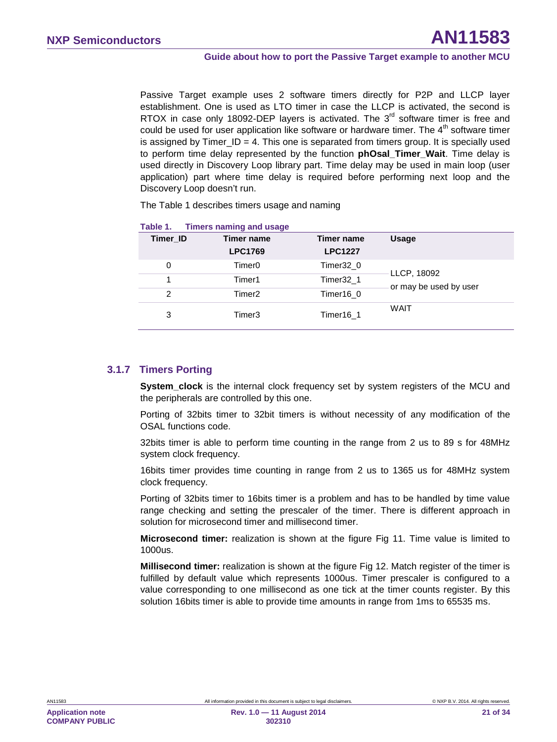Passive Target example uses 2 software timers directly for P2P and LLCP layer establishment. One is used as LTO timer in case the LLCP is activated, the second is RTOX in case only 18092-DEP layers is activated. The  $3<sup>rd</sup>$  software timer is free and could be used for user application like software or hardware timer. The  $4<sup>th</sup>$  software timer is assigned by Timer  $ID = 4$ . This one is separated from timers group. It is specially used to perform time delay represented by the function **phOsal\_Timer\_Wait**. Time delay is used directly in Discovery Loop library part. Time delay may be used in main loop (user application) part where time delay is required before performing next loop and the Discovery Loop doesn't run.

The [Table 1](#page-20-0) describes timers usage and naming

| <b>Timer ID</b> | Timer name<br><b>LPC1769</b> | Timer name<br><b>LPC1227</b> | <b>Usage</b>                          |
|-----------------|------------------------------|------------------------------|---------------------------------------|
| 0               | Timer <sub>0</sub>           | Timer32 0                    |                                       |
|                 | Timer1                       | Timer32 1                    | LLCP, 18092<br>or may be used by user |
| 2               | Timer <sub>2</sub>           | Timer16 0                    |                                       |
| 3               | Timer3                       | Timer16 1                    | <b>WAIT</b>                           |

#### <span id="page-20-0"></span>**Table 1. Timers naming and usage**

#### **3.1.7 Timers Porting**

<span id="page-20-1"></span>**System\_clock** is the internal clock frequency set by system registers of the MCU and the peripherals are controlled by this one.

Porting of 32bits timer to 32bit timers is without necessity of any modification of the OSAL functions code.

32bits timer is able to perform time counting in the range from 2 us to 89 s for 48MHz system clock frequency.

16bits timer provides time counting in range from 2 us to 1365 us for 48MHz system clock frequency.

Porting of 32bits timer to 16bits timer is a problem and has to be handled by time value range checking and setting the prescaler of the timer. There is different approach in solution for microsecond timer and millisecond timer.

**Microsecond timer:** realization is shown at the figure [Fig 11.](#page-21-0) Time value is limited to 1000us.

**Millisecond timer:** realization is shown at the figure [Fig 12.](#page-22-0) Match register of the timer is fulfilled by default value which represents 1000us. Timer prescaler is configured to a value corresponding to one millisecond as one tick at the timer counts register. By this solution 16bits timer is able to provide time amounts in range from 1ms to 65535 ms.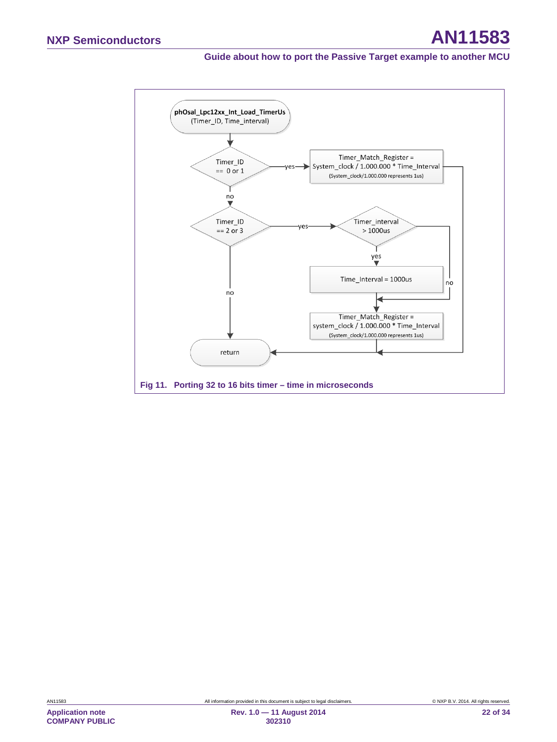<span id="page-21-0"></span>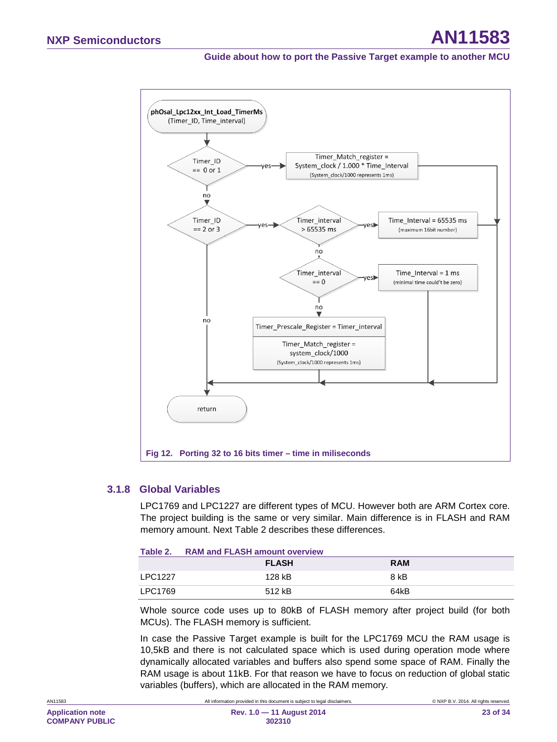

#### <span id="page-22-0"></span>**3.1.8 Global Variables**

<span id="page-22-2"></span>LPC1769 and LPC1227 are different types of MCU. However both are ARM Cortex core. The project building is the same or very similar. Main difference is in FLASH and RAM memory amount. Next [Table 2](#page-22-1) describes these differences.

<span id="page-22-1"></span>

| Table 2.       | <b>RAM and FLASH amount overview</b> |            |  |
|----------------|--------------------------------------|------------|--|
|                | <b>FLASH</b>                         | <b>RAM</b> |  |
| <b>LPC1227</b> | 128 kB                               | 8 kB       |  |
| LPC1769        | 512 kB                               | 64kB       |  |

Whole source code uses up to 80kB of FLASH memory after project build (for both MCUs). The FLASH memory is sufficient.

In case the Passive Target example is built for the LPC1769 MCU the RAM usage is 10,5kB and there is not calculated space which is used during operation mode where dynamically allocated variables and buffers also spend some space of RAM. Finally the RAM usage is about 11kB. For that reason we have to focus on reduction of global static variables (buffers), which are allocated in the RAM memory.

AN11583 **All information provided in this document is subject to legal disclaimers.** © NXP B.V. 2014. All rights reserved.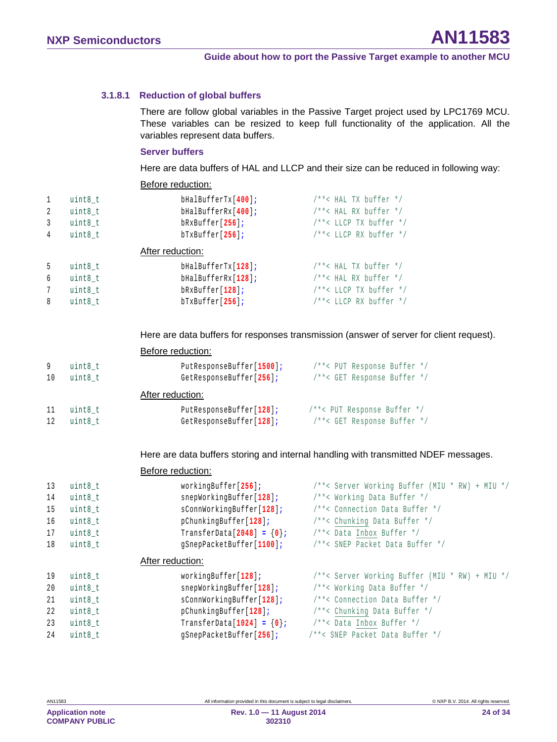#### **3.1.8.1 Reduction of global buffers**

<span id="page-23-0"></span>There are follow global variables in the Passive Target project used by LPC1769 MCU. These variables can be resized to keep full functionality of the application. All the variables represent data buffers.

#### **Server buffers**

Here are data buffers of HAL and LLCP and their size can be reduced in following way:

Before reduction:

Before reduction:

| $\mathbf{1}$   | uint8 t | bHalBufferTx[400]; | $/* * < HAL TX buffer * /$ |
|----------------|---------|--------------------|----------------------------|
| 2              | uint8 t | bHalBufferRx[400]; | $/* * < HAL RX buffer */$  |
| $\overline{3}$ | uint8 t | $bRxBuffer[256]$ ; | /**< LLCP TX buffer */     |
| 4              | uint8_t | $bTxBuffer[256]$ ; | /**< LLCP RX buffer */     |
|                |         | After reduction:   |                            |
| 5              | uint8 t | bHalBufferTx[128]; | $/**$ < HAL TX buffer $*/$ |
| 6              | uint8 t | bHalBufferRx[128]; | $/**$ < HAL RX buffer $*/$ |
| 7              | uint8 t | $bRxBuffer[128]$ ; | /**< LLCP TX buffer */     |
| 8              | uint8 t | $bTxButfer[256]$ ; | /**< LLCP RX buffer */     |
|                |         |                    |                            |

Here are data buffers for responses transmission (answer of server for client request).

|    |         | PUIVIU TUUUUNIUII.       |                             |
|----|---------|--------------------------|-----------------------------|
| 9  | uint8 t | PutResponseBuffer[1500]; | /**< PUT Response Buffer */ |
| 10 | uint8 t | GetResponseBuffer[256];  | /**< GET Response Buffer */ |
|    |         | After reduction:         |                             |
| 11 | uint8 t | PutResponseBuffer[128];  | /**< PUT Response Buffer */ |
| 12 | uint8 t | GetResponseBuffer[128];  | /**< GET Response Buffer */ |
|    |         |                          |                             |

Here are data buffers storing and internal handling with transmitted NDEF messages.

# Before reduction: 13 uint8\_t workingBuffer[**256**]**;** /\*\*< Server Working Buffer (MIU \* RW) + MIU \*/

| 14 | uint8 t   | snepWorkingBuffer[128];        | /**< Working Data Buffer */                    |
|----|-----------|--------------------------------|------------------------------------------------|
| 15 | $uint8_t$ | sConnWorkingBuffer[128];       | /**< Connection Data Buffer */                 |
| 16 | uint8 t   | pChunkingBuffer[128];          | /**< Chunking Data Buffer */                   |
| 17 | $uint8_t$ | TransferData[2048] = $\{0\}$ ; | /**< Data Inbox Buffer */                      |
| 18 | uint8 t   | gSnepPacketBuffer[1100];       | /**< SNEP Packet Data Buffer */                |
|    |           | After reduction:               |                                                |
| 19 | uint8 t   | workingBuffer[128];            | /**< Server Working Buffer (MIU * RW) + MIU */ |
| 20 | uint8 t   | snepWorkingBuffer[128];        | /**< Working Data Buffer */                    |
| 21 | uint8 t   | sConnWorkingBuffer[128];       | /**< Connection Data Buffer */                 |
| 22 | uint8 t   | pChunkingBuffer[128];          | /**< Chunking Data Buffer */                   |
| 23 | uint8 t   | TransferData[1024] = $\{0\}$ ; | /**< Data Inbox Buffer */                      |
| 24 | uint8 t   | qSnepPacketBuffer[256];        | /**< SNEP Packet Data Buffer */                |
|    |           |                                |                                                |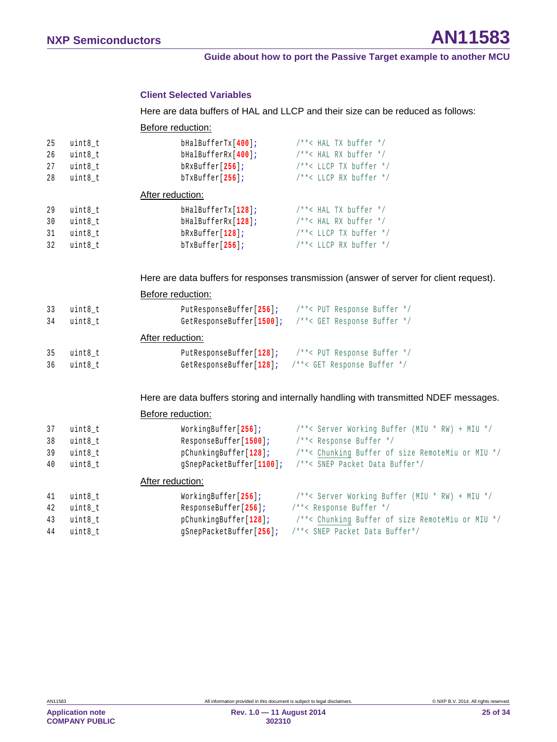#### **Client Selected Variables**

Here are data buffers of HAL and LLCP and their size can be reduced as follows:

Before reduction:

| 25 | uint8 t          | bHalBufferTx[400]; | $/**$ < HAL TX buffer $*/$  |
|----|------------------|--------------------|-----------------------------|
| 26 | uint8 t          | bHalBufferRx[400]; | $/**$ < HAL RX buffer $*/$  |
| 27 | uint8 t          | $bRxBuffer[256]$ ; | $/* * <$ LLCP TX buffer */  |
| 28 | uint8 t          | $bTxButfer[256]$ ; | $/**$ < LLCP RX buffer $*/$ |
|    | After reduction: |                    |                             |
| 29 | uint8 t          | bHalBufferTx[128]; | $/**$ < HAL TX buffer $*/$  |
| 30 | uint8 t          | bHalBufferRx[128]; | $/**$ < HAL RX buffer $*/$  |
| 31 | uint8 t          | $bRxBuffer[128]$ ; | $/**$ < LLCP TX buffer $*/$ |
| 32 | uint8 t          | $brxBuffer[256]$ ; | $/**$ < LLCP RX buffer $*/$ |

Here are data buffers for responses transmission (answer of server for client request).

|     |                  | Before reduction:        |                             |  |
|-----|------------------|--------------------------|-----------------------------|--|
| -33 | uint8 t          | PutResponseBuffer[256];  | /**< PUT Response Buffer */ |  |
| 34  | uint8 t          | GetResponseBuffer[1500]; | /**< GET Response Buffer */ |  |
|     | After reduction: |                          |                             |  |
| -35 | uint8 t          | PutResponseBuffer[128];  | /**< PUT Response Buffer */ |  |
| 36  | uint8 t          | GetResponseBuffer[128];  | /**< GET Response Buffer */ |  |

Here are data buffers storing and internally handling with transmitted NDEF messages.

Before reduction:

| 37 | uint8 t          | WorkingBuffer[256];      | /**< Server Working Buffer (MIU * RW) + MIU */   |
|----|------------------|--------------------------|--------------------------------------------------|
| 38 | uint8 t          | ResponseBuffer[1500];    | /**< Response Buffer */                          |
| 39 | uint8 t          | pChunkingBuffer[128];    | /**< Chunking Buffer of size RemoteMiu or MIU */ |
| 40 | uint8 t          | qSnepPacketBuffer[1100]; | /**< SNEP Packet Data Buffer*/                   |
|    | After reduction: |                          |                                                  |
| 41 | uint8 t          | WorkingBuffer[256];      | /**< Server Working Buffer (MIU * RW) + MIU */   |
| 42 | uint8 t          | ResponseBuffer[256];     | /**< Response Buffer */                          |
| 43 | uint8 t          | pChunkingBuffer[128];    | /**< Chunking Buffer of size RemoteMiu or MIU */ |
| 44 | uint8 t          | qSnepPacketBuffer[256];  | /**< SNEP Packet Data Buffer*/                   |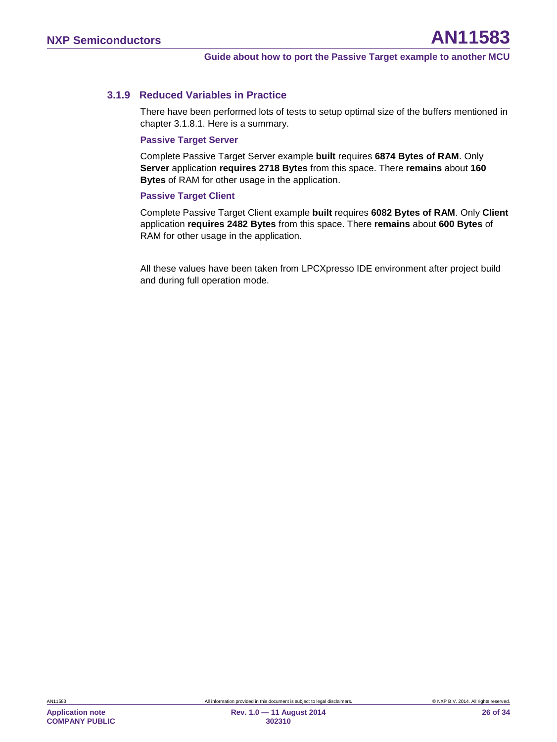#### **3.1.9 Reduced Variables in Practice**

<span id="page-25-0"></span>There have been performed lots of tests to setup optimal size of the buffers mentioned in chapter [3.1.8.1.](#page-23-0) Here is a summary.

#### **Passive Target Server**

Complete Passive Target Server example **built** requires **6874 Bytes of RAM**. Only **Server** application **requires 2718 Bytes** from this space. There **remains** about **160 Bytes** of RAM for other usage in the application.

#### **Passive Target Client**

Complete Passive Target Client example **built** requires **6082 Bytes of RAM**. Only **Client** application **requires 2482 Bytes** from this space. There **remains** about **600 Bytes** of RAM for other usage in the application.

All these values have been taken from LPCXpresso IDE environment after project build and during full operation mode.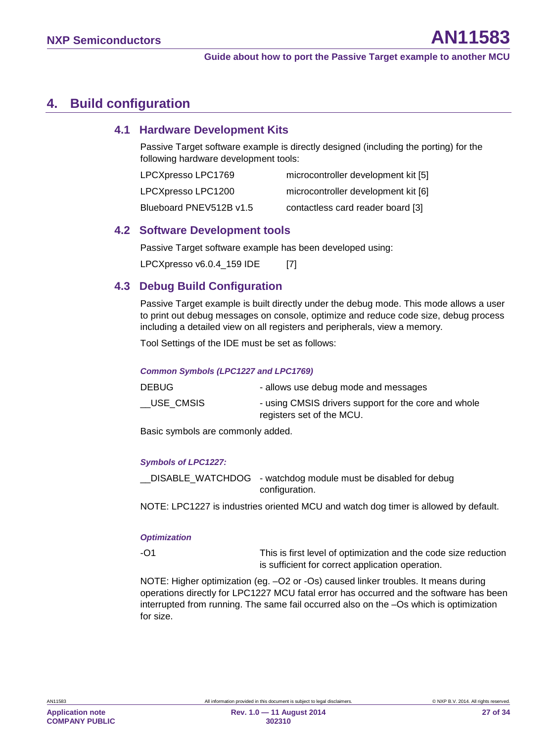### <span id="page-26-0"></span>**4. Build configuration**

#### **4.1 Hardware Development Kits**

<span id="page-26-1"></span>Passive Target software example is directly designed (including the porting) for the following hardware development tools:

| LPCXpresso LPC1769      | microcontroller development kit [5] |
|-------------------------|-------------------------------------|
| LPCXpresso LPC1200      | microcontroller development kit [6] |
| Blueboard PNEV512B v1.5 | contactless card reader board [3]   |

#### <span id="page-26-2"></span>**4.2 Software Development tools**

Passive Target software example has been developed using:

<span id="page-26-3"></span>LPCXpresso v6.0.4 159 IDE [7]

#### **4.3 Debug Build Configuration**

Passive Target example is built directly under the debug mode. This mode allows a user to print out debug messages on console, optimize and reduce code size, debug process including a detailed view on all registers and peripherals, view a memory.

Tool Settings of the IDE must be set as follows:

#### *Common Symbols (LPC1227 and LPC1769)*

| DEBUG.      | - allows use debug mode and messages                                              |
|-------------|-----------------------------------------------------------------------------------|
| __USE_CMSIS | - using CMSIS drivers support for the core and whole<br>registers set of the MCU. |

Basic symbols are commonly added.

#### *Symbols of LPC1227:*

\_\_DISABLE\_WATCHDOG - watchdog module must be disabled for debug configuration.

NOTE: LPC1227 is industries oriented MCU and watch dog timer is allowed by default.

#### *Optimization*

-O1 This is first level of optimization and the code size reduction is sufficient for correct application operation.

NOTE: Higher optimization (eg. –O2 or -Os) caused linker troubles. It means during operations directly for LPC1227 MCU fatal error has occurred and the software has been interrupted from running. The same fail occurred also on the –Os which is optimization for size.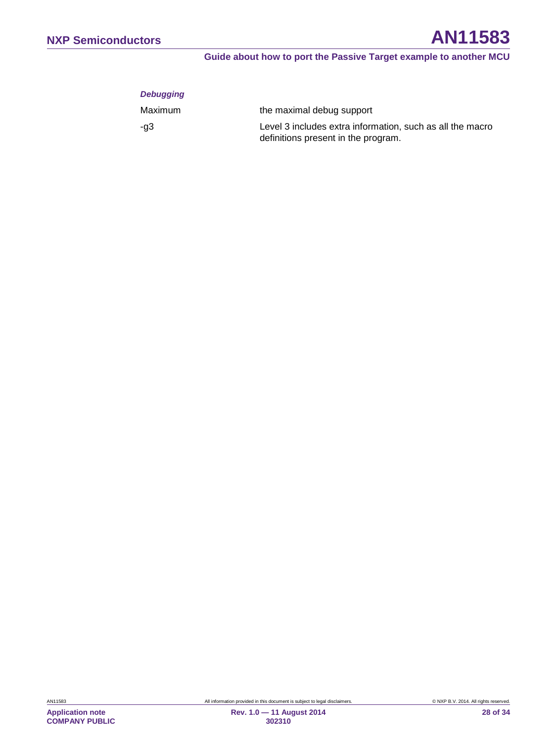#### *Debugging*

| Maximum | the maximal debug support                                                                        |
|---------|--------------------------------------------------------------------------------------------------|
| -a3     | Level 3 includes extra information, such as all the macro<br>definitions present in the program. |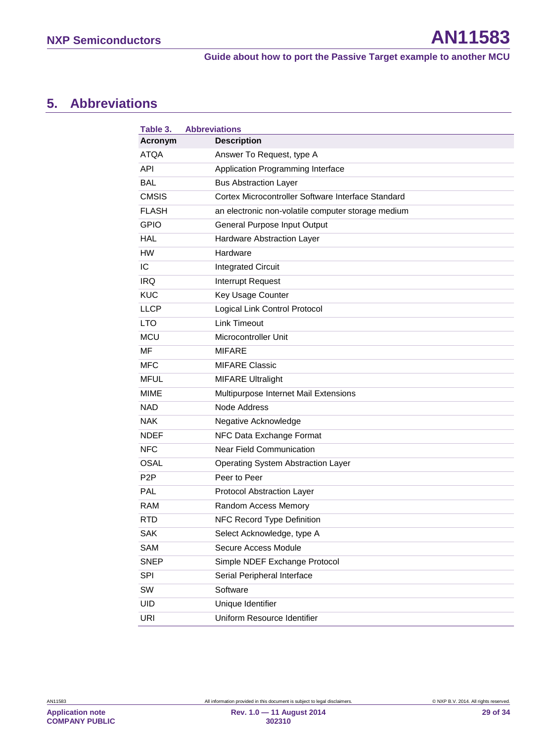## <span id="page-28-1"></span>**5. Abbreviations**

<span id="page-28-0"></span>

| Table 3.         | <b>Abbreviations</b> |                                                    |
|------------------|----------------------|----------------------------------------------------|
| Acronym          |                      | <b>Description</b>                                 |
| <b>ATOA</b>      |                      | Answer To Request, type A                          |
| API              |                      | Application Programming Interface                  |
| BAL              |                      | <b>Bus Abstraction Layer</b>                       |
| <b>CMSIS</b>     |                      | Cortex Microcontroller Software Interface Standard |
| <b>FLASH</b>     |                      | an electronic non-volatile computer storage medium |
| <b>GPIO</b>      |                      | General Purpose Input Output                       |
| HAL              |                      | Hardware Abstraction Layer                         |
| НW               |                      | Hardware                                           |
| IC               |                      | <b>Integrated Circuit</b>                          |
| IRQ              |                      | Interrupt Request                                  |
| <b>KUC</b>       |                      | Key Usage Counter                                  |
| <b>LLCP</b>      |                      | Logical Link Control Protocol                      |
| <b>LTO</b>       |                      | <b>Link Timeout</b>                                |
| <b>MCU</b>       |                      | Microcontroller Unit                               |
| <b>MF</b>        |                      | <b>MIFARE</b>                                      |
| <b>MFC</b>       |                      | <b>MIFARE Classic</b>                              |
| <b>MFUL</b>      |                      | <b>MIFARE Ultralight</b>                           |
| MIME             |                      | Multipurpose Internet Mail Extensions              |
| NAD              |                      | Node Address                                       |
| NAK.             |                      | Negative Acknowledge                               |
| <b>NDEF</b>      |                      | NFC Data Exchange Format                           |
| <b>NFC</b>       |                      | <b>Near Field Communication</b>                    |
| <b>OSAL</b>      |                      | Operating System Abstraction Layer                 |
| P <sub>2</sub> P |                      | Peer to Peer                                       |
| PAL              |                      | Protocol Abstraction Layer                         |
| RAM              |                      | Random Access Memory                               |
| RTD              |                      | NFC Record Type Definition                         |
| <b>SAK</b>       |                      | Select Acknowledge, type A                         |
| <b>SAM</b>       |                      | Secure Access Module                               |
| <b>SNEP</b>      |                      | Simple NDEF Exchange Protocol                      |
| SPI              |                      | Serial Peripheral Interface                        |
| SW               |                      | Software                                           |
| UID              |                      | Unique Identifier                                  |
| URI              |                      | Uniform Resource Identifier                        |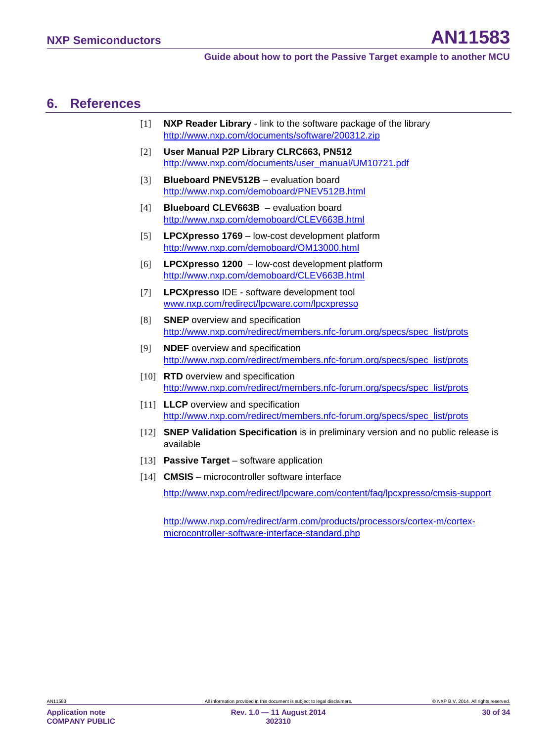### <span id="page-29-12"></span>**6. References**

- <span id="page-29-9"></span>[1] **NXP Reader Library** - link to the software package of the library <http://www.nxp.com/documents/software/200312.zip>
- [2] **User Manual P2P Library CLRC663, PN512** [http://www.nxp.com/documents/user\\_manual/UM10721.pdf](http://www.nxp.com/documents/user_manual/UM10721.pdf)
- <span id="page-29-7"></span>[3] **Blueboard PNEV512B** – evaluation board <http://www.nxp.com/demoboard/PNEV512B.html>
- [4] **Blueboard CLEV663B** evaluation board <http://www.nxp.com/demoboard/CLEV663B.html>
- <span id="page-29-6"></span>[5] **LPCXpresso 1769** – low-cost development platform <http://www.nxp.com/demoboard/OM13000.html>
- <span id="page-29-8"></span>[6] **LPCXpresso 1200** – low-cost development platform <http://www.nxp.com/demoboard/CLEV663B.html>
- <span id="page-29-11"></span>[7] **LPCXpresso** IDE - software development tool [www.nxp.com/redirect/lpcware.com/lpcxpresso](http://www.nxp.com/redirect/lpcware.com/lpcxpresso)
- <span id="page-29-0"></span>[8] **SNEP** overview and specification [http://www.nxp.com/redirect/members.nfc-forum.org/specs/spec\\_list/prots](http://www.nxp.com/redirect/members.nfc-forum.org/specs/spec_list/prots)
- <span id="page-29-5"></span><span id="page-29-1"></span>[9] **NDEF** overview and specification [http://www.nxp.com/redirect/members.nfc-forum.org/specs/spec\\_list/prots](http://www.nxp.com/redirect/members.nfc-forum.org/specs/spec_list/prots)
- <span id="page-29-2"></span>[10] **RTD** overview and specification [http://www.nxp.com/redirect/members.nfc-forum.org/specs/spec\\_list/prots](http://www.nxp.com/redirect/members.nfc-forum.org/specs/spec_list/prots)
- <span id="page-29-4"></span>[11] **LLCP** overview and specification [http://www.nxp.com/redirect/members.nfc-forum.org/specs/spec\\_list/prots](http://www.nxp.com/redirect/members.nfc-forum.org/specs/spec_list/prots)
- [12] **SNEP Validation Specification** is in preliminary version and no public release is available
- <span id="page-29-3"></span>[13] **Passive Target** – software application
- <span id="page-29-10"></span>[14] **CMSIS** – microcontroller software interface

<http://www.nxp.com/redirect/lpcware.com/content/faq/lpcxpresso/cmsis-support>

[http://www.nxp.com/redirect/arm.com/products/processors/cortex-m/cortex](http://www.nxp.com/redirect/arm.com/products/processors/cortex-m/cortex-microcontroller-software-interface-standard.php)[microcontroller-software-interface-standard.php](http://www.nxp.com/redirect/arm.com/products/processors/cortex-m/cortex-microcontroller-software-interface-standard.php)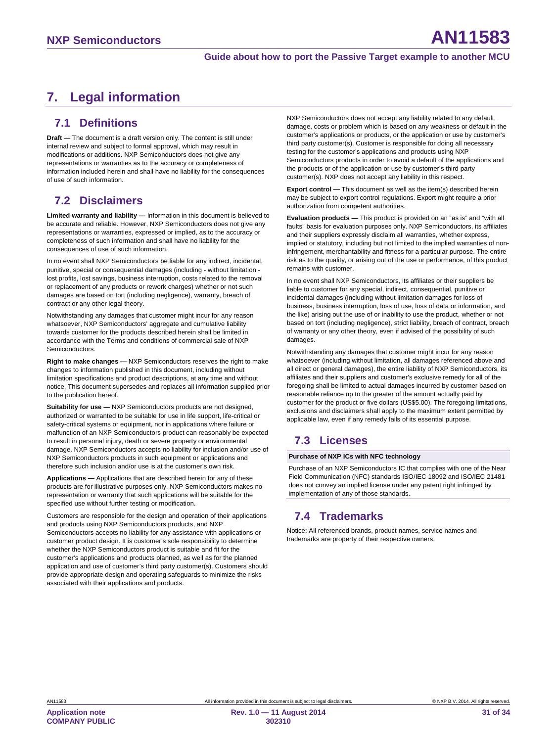## <span id="page-30-0"></span>**7. Legal information**

### <span id="page-30-1"></span>**7.1 Definitions**

**Draft —** The document is a draft version only. The content is still under internal review and subject to formal approval, which may result in modifications or additions. NXP Semiconductors does not give any representations or warranties as to the accuracy or completeness of information included herein and shall have no liability for the consequences of use of such information.

### <span id="page-30-2"></span>**7.2 Disclaimers**

**Limited warranty and liability —** Information in this document is believed to be accurate and reliable. However, NXP Semiconductors does not give any representations or warranties, expressed or implied, as to the accuracy or completeness of such information and shall have no liability for the consequences of use of such information.

In no event shall NXP Semiconductors be liable for any indirect, incidental, punitive, special or consequential damages (including - without limitation lost profits, lost savings, business interruption, costs related to the removal or replacement of any products or rework charges) whether or not such damages are based on tort (including negligence), warranty, breach of contract or any other legal theory.

Notwithstanding any damages that customer might incur for any reason whatsoever, NXP Semiconductors' aggregate and cumulative liability towards customer for the products described herein shall be limited in accordance with the Terms and conditions of commercial sale of NXP Semiconductors.

**Right to make changes —** NXP Semiconductors reserves the right to make changes to information published in this document, including without limitation specifications and product descriptions, at any time and without notice. This document supersedes and replaces all information supplied prior to the publication hereof.

**Suitability for use —** NXP Semiconductors products are not designed, authorized or warranted to be suitable for use in life support, life-critical or safety-critical systems or equipment, nor in applications where failure or malfunction of an NXP Semiconductors product can reasonably be expected to result in personal injury, death or severe property or environmental damage. NXP Semiconductors accepts no liability for inclusion and/or use of NXP Semiconductors products in such equipment or applications and therefore such inclusion and/or use is at the customer's own risk.

**Applications —** Applications that are described herein for any of these products are for illustrative purposes only. NXP Semiconductors makes no representation or warranty that such applications will be suitable for the specified use without further testing or modification.

Customers are responsible for the design and operation of their applications and products using NXP Semiconductors products, and NXP Semiconductors accepts no liability for any assistance with applications or customer product design. It is customer's sole responsibility to determine whether the NXP Semiconductors product is suitable and fit for the customer's applications and products planned, as well as for the planned application and use of customer's third party customer(s). Customers should provide appropriate design and operating safeguards to minimize the risks associated with their applications and products.

NXP Semiconductors does not accept any liability related to any default, damage, costs or problem which is based on any weakness or default in the customer's applications or products, or the application or use by customer's third party customer(s). Customer is responsible for doing all necessary testing for the customer's applications and products using NXP Semiconductors products in order to avoid a default of the applications and the products or of the application or use by customer's third party customer(s). NXP does not accept any liability in this respect.

**Export control —** This document as well as the item(s) described herein may be subject to export control regulations. Export might require a prior authorization from competent authorities.

**Evaluation products —** This product is provided on an "as is" and "with all faults" basis for evaluation purposes only. NXP Semiconductors, its affiliates and their suppliers expressly disclaim all warranties, whether express, implied or statutory, including but not limited to the implied warranties of noninfringement, merchantability and fitness for a particular purpose. The entire risk as to the quality, or arising out of the use or performance, of this product remains with customer.

In no event shall NXP Semiconductors, its affiliates or their suppliers be liable to customer for any special, indirect, consequential, punitive or incidental damages (including without limitation damages for loss of business, business interruption, loss of use, loss of data or information, and the like) arising out the use of or inability to use the product, whether or not based on tort (including negligence), strict liability, breach of contract, breach of warranty or any other theory, even if advised of the possibility of such damages

Notwithstanding any damages that customer might incur for any reason whatsoever (including without limitation, all damages referenced above and all direct or general damages), the entire liability of NXP Semiconductors, its affiliates and their suppliers and customer's exclusive remedy for all of the foregoing shall be limited to actual damages incurred by customer based on reasonable reliance up to the greater of the amount actually paid by customer for the product or five dollars (US\$5.00). The foregoing limitations, exclusions and disclaimers shall apply to the maximum extent permitted by applicable law, even if any remedy fails of its essential purpose.

### <span id="page-30-3"></span>**7.3 Licenses**

#### **Purchase of NXP ICs with NFC technology**

Purchase of an NXP Semiconductors IC that complies with one of the Near Field Communication (NFC) standards ISO/IEC 18092 and ISO/IEC 21481 does not convey an implied license under any patent right infringed by implementation of any of those standards.

### <span id="page-30-4"></span>**7.4 Trademarks**

Notice: All referenced brands, product names, service names and trademarks are property of their respective owners.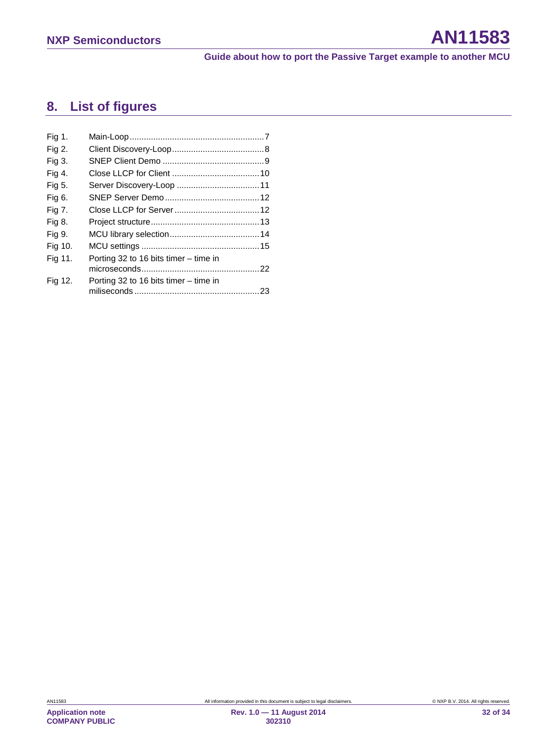## <span id="page-31-0"></span>**8. List of figures**

| Fig 1.  |                                         |  |
|---------|-----------------------------------------|--|
| Fig 2.  |                                         |  |
| Fig 3.  |                                         |  |
| Fig 4.  |                                         |  |
| Fig 5.  |                                         |  |
| Fig 6.  |                                         |  |
| Fig 7.  |                                         |  |
| Fig 8.  |                                         |  |
| Fig 9.  |                                         |  |
| Fig 10. |                                         |  |
| Fig 11. | Porting 32 to 16 bits timer – time in   |  |
|         |                                         |  |
| Fig 12. | Porting 32 to 16 bits timer $-$ time in |  |
|         |                                         |  |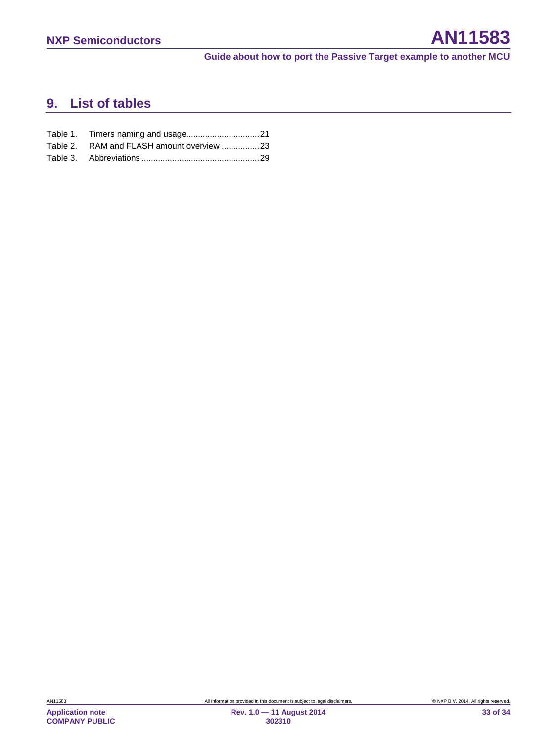## <span id="page-32-0"></span>**9. List of tables**

| Table 2. RAM and FLASH amount overview 23 |  |
|-------------------------------------------|--|
|                                           |  |